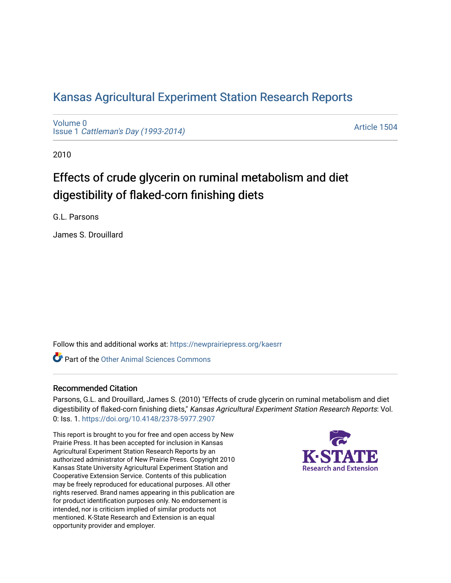# [Kansas Agricultural Experiment Station Research Reports](https://newprairiepress.org/kaesrr)

[Volume 0](https://newprairiepress.org/kaesrr/vol0) Issue 1 [Cattleman's Day \(1993-2014\)](https://newprairiepress.org/kaesrr/vol0/iss1) 

[Article 1504](https://newprairiepress.org/kaesrr/vol0/iss1/1504) 

2010

# Effects of crude glycerin on ruminal metabolism and diet digestibility of flaked-corn finishing diets

G.L. Parsons

James S. Drouillard

Follow this and additional works at: [https://newprairiepress.org/kaesrr](https://newprairiepress.org/kaesrr?utm_source=newprairiepress.org%2Fkaesrr%2Fvol0%2Fiss1%2F1504&utm_medium=PDF&utm_campaign=PDFCoverPages) 

**C** Part of the [Other Animal Sciences Commons](http://network.bepress.com/hgg/discipline/82?utm_source=newprairiepress.org%2Fkaesrr%2Fvol0%2Fiss1%2F1504&utm_medium=PDF&utm_campaign=PDFCoverPages)

## Recommended Citation

Parsons, G.L. and Drouillard, James S. (2010) "Effects of crude glycerin on ruminal metabolism and diet digestibility of flaked-corn finishing diets," Kansas Agricultural Experiment Station Research Reports: Vol. 0: Iss. 1.<https://doi.org/10.4148/2378-5977.2907>

This report is brought to you for free and open access by New Prairie Press. It has been accepted for inclusion in Kansas Agricultural Experiment Station Research Reports by an authorized administrator of New Prairie Press. Copyright 2010 Kansas State University Agricultural Experiment Station and Cooperative Extension Service. Contents of this publication may be freely reproduced for educational purposes. All other rights reserved. Brand names appearing in this publication are for product identification purposes only. No endorsement is intended, nor is criticism implied of similar products not mentioned. K-State Research and Extension is an equal opportunity provider and employer.

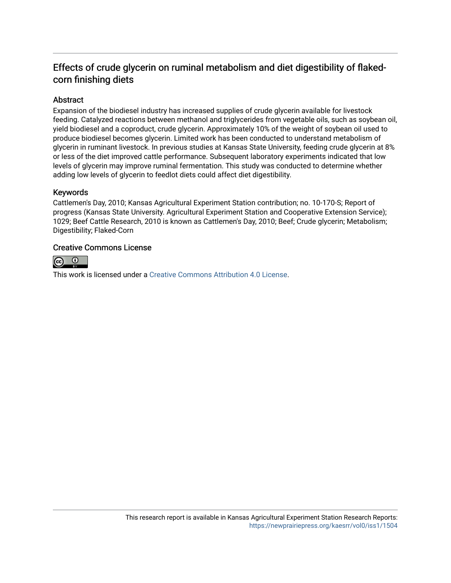# Effects of crude glycerin on ruminal metabolism and diet digestibility of flakedcorn finishing diets

## Abstract

Expansion of the biodiesel industry has increased supplies of crude glycerin available for livestock feeding. Catalyzed reactions between methanol and triglycerides from vegetable oils, such as soybean oil, yield biodiesel and a coproduct, crude glycerin. Approximately 10% of the weight of soybean oil used to produce biodiesel becomes glycerin. Limited work has been conducted to understand metabolism of glycerin in ruminant livestock. In previous studies at Kansas State University, feeding crude glycerin at 8% or less of the diet improved cattle performance. Subsequent laboratory experiments indicated that low levels of glycerin may improve ruminal fermentation. This study was conducted to determine whether adding low levels of glycerin to feedlot diets could affect diet digestibility.

### Keywords

Cattlemen's Day, 2010; Kansas Agricultural Experiment Station contribution; no. 10-170-S; Report of progress (Kansas State University. Agricultural Experiment Station and Cooperative Extension Service); 1029; Beef Cattle Research, 2010 is known as Cattlemen's Day, 2010; Beef; Crude glycerin; Metabolism; Digestibility; Flaked-Corn

### Creative Commons License



This work is licensed under a [Creative Commons Attribution 4.0 License](https://creativecommons.org/licenses/by/4.0/).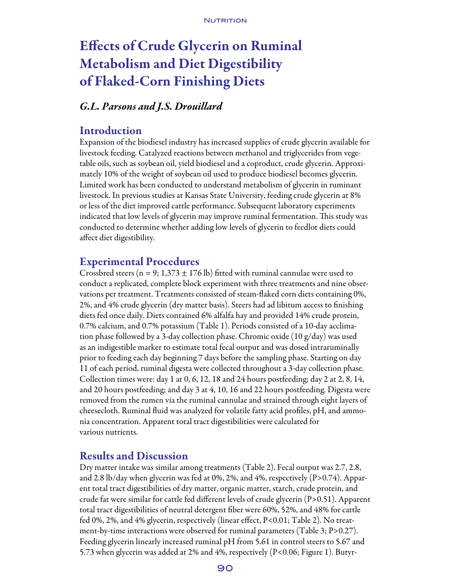# Effects of Crude Glycerin on Ruminal Metabolism and Diet Digestibility of Flaked-Corn Finishing Diets

# *G.L. Parsons and J.S. Drouillard*

## Introduction

Expansion of the biodiesel industry has increased supplies of crude glycerin available for livestock feeding. Catalyzed reactions between methanol and triglycerides from vegetable oils, such as soybean oil, yield biodiesel and a coproduct, crude glycerin. Approximately 10% of the weight of soybean oil used to produce biodiesel becomes glycerin. Limited work has been conducted to understand metabolism of glycerin in ruminant livestock. In previous studies at Kansas State University, feeding crude glycerin at 8% or less of the diet improved cattle performance. Subsequent laboratory experiments indicated that low levels of glycerin may improve ruminal fermentation. This study was conducted to determine whether adding low levels of glycerin to feedlot diets could affect diet digestibility.

# Experimental Procedures

Crossbred steers ( $n = 9$ ; 1,373  $\pm$  176 lb) fitted with ruminal cannulae were used to conduct a replicated, complete block experiment with three treatments and nine observations per treatment. Treatments consisted of steam-flaked corn diets containing 0%, 2%, and 4% crude glycerin (dry matter basis). Steers had ad libitum access to finishing diets fed once daily. Diets contained 6% alfalfa hay and provided 14% crude protein, 0.7% calcium, and 0.7% potassium (Table 1). Periods consisted of a 10-day acclimation phase followed by a 3-day collection phase. Chromic oxide  $(10 \text{ g/day})$  was used as an indigestible marker to estimate total fecal output and was dosed intraruminally prior to feeding each day beginning 7 days before the sampling phase. Starting on day 11 of each period, ruminal digesta were collected throughout a 3-day collection phase. Collection times were: day 1 at 0, 6, 12, 18 and 24 hours postfeeding; day 2 at 2, 8, 14, and 20 hours postfeeding; and day 3 at 4, 10, 16 and 22 hours postfeeding. Digesta were removed from the rumen via the ruminal cannulae and strained through eight layers of cheesecloth. Ruminal fluid was analyzed for volatile fatty acid profiles, pH, and ammonia concentration. Apparent total tract digestibilities were calculated for various nutrients.

# Results and Discussion

Dry matter intake was similar among treatments (Table 2). Fecal output was 2.7, 2.8, and 2.8 lb/day when glycerin was fed at 0%, 2%, and 4%, respectively (P>0.74). Apparent total tract digestibilities of dry matter, organic matter, starch, crude protein, and crude fat were similar for cattle fed different levels of crude glycerin (P>0.51). Apparent total tract digestibilities of neutral detergent fiber were 60%, 52%, and 48% for cattle fed 0%, 2%, and 4% glycerin, respectively (linear effect, P<0.01; Table 2). No treatment-by-time interactions were observed for ruminal parameters (Table 3; P>0.27). Feeding glycerin linearly increased ruminal pH from 5.61 in control steers to 5.67 and 5.73 when glycerin was added at 2% and 4%, respectively (P<0.06; Figure 1). Butyr-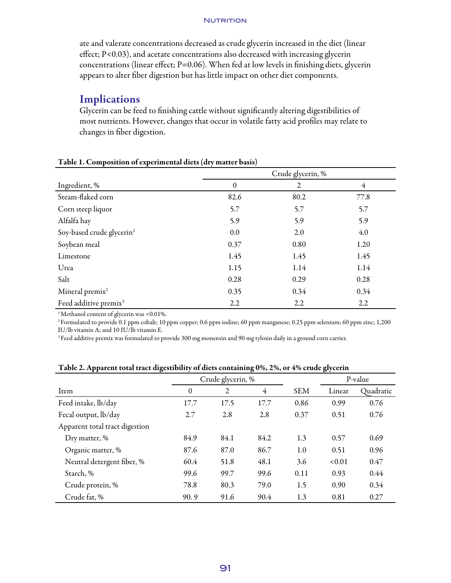#### **NUTRITION**

ate and valerate concentrations decreased as crude glycerin increased in the diet (linear effect; P<0.03), and acetate concentrations also decreased with increasing glycerin concentrations (linear effect;  $P=0.06$ ). When fed at low levels in finishing diets, glycerin appears to alter fiber digestion but has little impact on other diet components.

# Implications

Glycerin can be feed to finishing cattle without significantly altering digestibilities of most nutrients. However, changes that occur in volatile fatty acid profiles may relate to changes in fiber digestion.

|                                       | Crude glycerin, % |      |      |  |  |
|---------------------------------------|-------------------|------|------|--|--|
| Ingredient, %                         | $\Omega$          | 2    | 4    |  |  |
| Steam-flaked corn                     | 82.6              | 80.2 | 77.8 |  |  |
| Corn steep liquor                     | 5.7               | 5.7  | 5.7  |  |  |
| Alfalfa hay                           | 5.9               | 5.9  | 5.9  |  |  |
| Soy-based crude glycerin <sup>1</sup> | 0.0               | 2.0  | 4.0  |  |  |
| Soybean meal                          | 0.37              | 0.80 | 1.20 |  |  |
| Limestone                             | 1.45              | 1.45 | 1.45 |  |  |
| Urea                                  | 1.15              | 1.14 | 1.14 |  |  |
| Salt                                  | 0.28              | 0.29 | 0.28 |  |  |
| Mineral premix <sup>2</sup>           | 0.35              | 0.34 | 0.34 |  |  |
| Feed additive premix <sup>3</sup>     | 2.2               | 2.2  | 2.2  |  |  |

#### Table 1. Composition of experimental diets (dry matter basis)

<sup>1</sup>Methanol content of glycerin was <0.01%.

2Formulated to provide 0.1 ppm cobalt; 10 ppm copper; 0.6 ppm iodine; 60 ppm manganese; 0.25 ppm selenium; 60 ppm zinc; 1,200 IU/lb vitamin A; and 10 IU/lb vitamin E.

<sup>3</sup>Feed additive premix was formulated to provide 300 mg monensin and 90 mg tylosin daily in a ground corn carrier.

|                                | Crude glycerin, % |      |                |            | P-value |           |
|--------------------------------|-------------------|------|----------------|------------|---------|-----------|
| Item                           | $\theta$          | 2    | $\overline{4}$ | <b>SEM</b> | Linear  | Quadratic |
| Feed intake, lb/day            | 17.7              | 17.5 | 17.7           | 0.86       | 0.99    | 0.76      |
| Fecal output, lb/day           | 2.7               | 2.8  | 2.8            | 0.37       | 0.51    | 0.76      |
| Apparent total tract digestion |                   |      |                |            |         |           |
| Dry matter, %                  | 84.9              | 84.1 | 84.2           | 1.3        | 0.57    | 0.69      |
| Organic matter, %              | 87.6              | 87.0 | 86.7           | 1.0        | 0.51    | 0.96      |
| Neutral detergent fiber, %     | 60.4              | 51.8 | 48.1           | 3.6        | < 0.01  | 0.47      |
| Starch, %                      | 99.6              | 99.7 | 99.6           | 0.11       | 0.93    | 0.44      |
| Crude protein, %               | 78.8              | 80.3 | 79.0           | 1.5        | 0.90    | 0.34      |
| Crude fat, %                   | 90.9              | 91.6 | 90.4           | 1.3        | 0.81    | 0.27      |

Table 2. Apparent total tract digestibility of diets containing 0%, 2%, or 4% crude glycerin